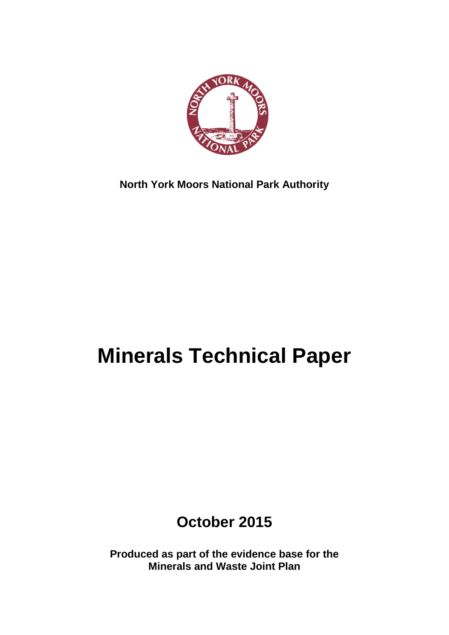

**North York Moors National Park Authority**

# **Minerals Technical Paper**

**October 2015**

**Produced as part of the evidence base for the Minerals and Waste Joint Plan**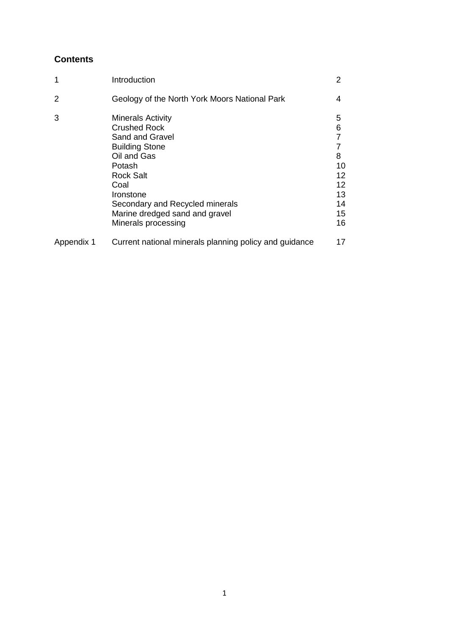# **Contents**

| 1          | Introduction                                                                                                                                                                                                                                              | 2                                                                            |
|------------|-----------------------------------------------------------------------------------------------------------------------------------------------------------------------------------------------------------------------------------------------------------|------------------------------------------------------------------------------|
| 2          | Geology of the North York Moors National Park                                                                                                                                                                                                             | 4                                                                            |
| 3          | <b>Minerals Activity</b><br><b>Crushed Rock</b><br>Sand and Gravel<br><b>Building Stone</b><br>Oil and Gas<br>Potash<br><b>Rock Salt</b><br>Coal<br>Ironstone<br>Secondary and Recycled minerals<br>Marine dredged sand and gravel<br>Minerals processing | 5<br>6<br>$\overline{7}$<br>7<br>8<br>10<br>12<br>12<br>13<br>14<br>15<br>16 |
| Appendix 1 | Current national minerals planning policy and guidance                                                                                                                                                                                                    | 17                                                                           |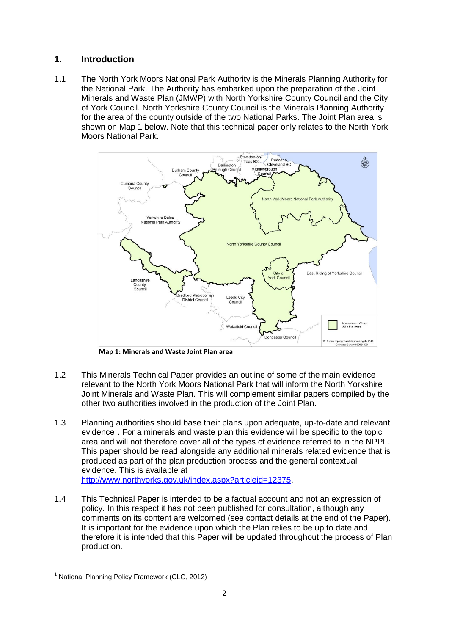## **1. Introduction**

1.1 The North York Moors National Park Authority is the Minerals Planning Authority for the National Park. The Authority has embarked upon the preparation of the Joint Minerals and Waste Plan (JMWP) with North Yorkshire County Council and the City of York Council. North Yorkshire County Council is the Minerals Planning Authority for the area of the county outside of the two National Parks. The Joint Plan area is shown on Map 1 below. Note that this technical paper only relates to the North York Moors National Park.



**Map 1: Minerals and Waste Joint Plan area**

- 1.2 This Minerals Technical Paper provides an outline of some of the main evidence relevant to the North York Moors National Park that will inform the North Yorkshire Joint Minerals and Waste Plan. This will complement similar papers compiled by the other two authorities involved in the production of the Joint Plan.
- 1.3 Planning authorities should base their plans upon adequate, up-to-date and relevant evidence<sup>1</sup>. For a minerals and waste plan this evidence will be specific to the topic area and will not therefore cover all of the types of evidence referred to in the NPPF. This paper should be read alongside any additional minerals related evidence that is produced as part of the plan production process and the general contextual evidence. This is available at [http://www.northyorks.gov.uk/index.aspx?articleid=12375.](http://www.northyorks.gov.uk/index.aspx?articleid=12375)
- 1.4 This Technical Paper is intended to be a factual account and not an expression of policy. In this respect it has not been published for consultation, although any comments on its content are welcomed (see contact details at the end of the Paper). It is important for the evidence upon which the Plan relies to be up to date and therefore it is intended that this Paper will be updated throughout the process of Plan production.

**<sup>.</sup>** <sup>1</sup> National Planning Policy Framework (CLG, 2012)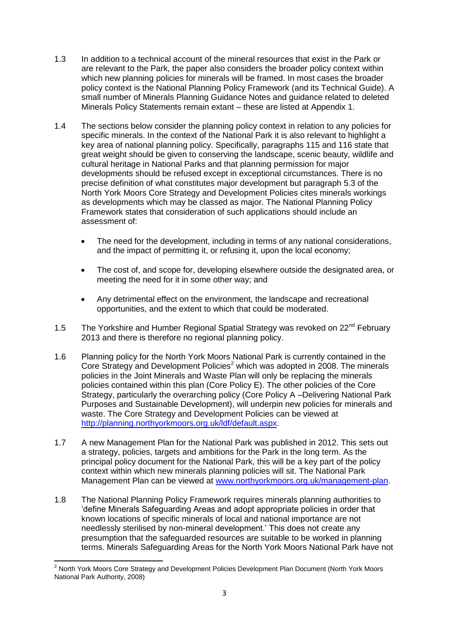- 1.3 In addition to a technical account of the mineral resources that exist in the Park or are relevant to the Park, the paper also considers the broader policy context within which new planning policies for minerals will be framed. In most cases the broader policy context is the National Planning Policy Framework (and its Technical Guide). A small number of Minerals Planning Guidance Notes and guidance related to deleted Minerals Policy Statements remain extant – these are listed at Appendix 1.
- 1.4 The sections below consider the planning policy context in relation to any policies for specific minerals. In the context of the National Park it is also relevant to highlight a key area of national planning policy. Specifically, paragraphs 115 and 116 state that great weight should be given to conserving the landscape, scenic beauty, wildlife and cultural heritage in National Parks and that planning permission for major developments should be refused except in exceptional circumstances. There is no precise definition of what constitutes major development but paragraph 5.3 of the North York Moors Core Strategy and Development Policies cites minerals workings as developments which may be classed as major. The National Planning Policy Framework states that consideration of such applications should include an assessment of:
	- The need for the development, including in terms of any national considerations, and the impact of permitting it, or refusing it, upon the local economy;
	- The cost of, and scope for, developing elsewhere outside the designated area, or meeting the need for it in some other way; and
	- Any detrimental effect on the environment, the landscape and recreational opportunities, and the extent to which that could be moderated.
- 1.5 The Yorkshire and Humber Regional Spatial Strategy was revoked on 22<sup>nd</sup> Februarv 2013 and there is therefore no regional planning policy.
- 1.6 Planning policy for the North York Moors National Park is currently contained in the Core Strategy and Development Policies<sup>2</sup> which was adopted in 2008. The minerals policies in the Joint Minerals and Waste Plan will only be replacing the minerals policies contained within this plan (Core Policy E). The other policies of the Core Strategy, particularly the overarching policy (Core Policy A –Delivering National Park Purposes and Sustainable Development), will underpin new policies for minerals and waste. The Core Strategy and Development Policies can be viewed at [http://planning.northyorkmoors.org.uk/ldf/default.aspx.](http://planning.northyorkmoors.org.uk/ldf/default.aspx)
- 1.7 A new Management Plan for the National Park was published in 2012. This sets out a strategy, policies, targets and ambitions for the Park in the long term. As the principal policy document for the National Park, this will be a key part of the policy context within which new minerals planning policies will sit. The National Park Management Plan can be viewed at [www.northyorkmoors.org.uk/management-plan.](http://www.northyorkmoors.org.uk/management-plan)
- 1.8 The National Planning Policy Framework requires minerals planning authorities to 'define Minerals Safeguarding Areas and adopt appropriate policies in order that known locations of specific minerals of local and national importance are not needlessly sterilised by non-mineral development.' This does not create any presumption that the safeguarded resources are suitable to be worked in planning terms. Minerals Safeguarding Areas for the North York Moors National Park have not

**.** 

 $2$  North York Moors Core Strategy and Development Policies Development Plan Document (North York Moors National Park Authority, 2008)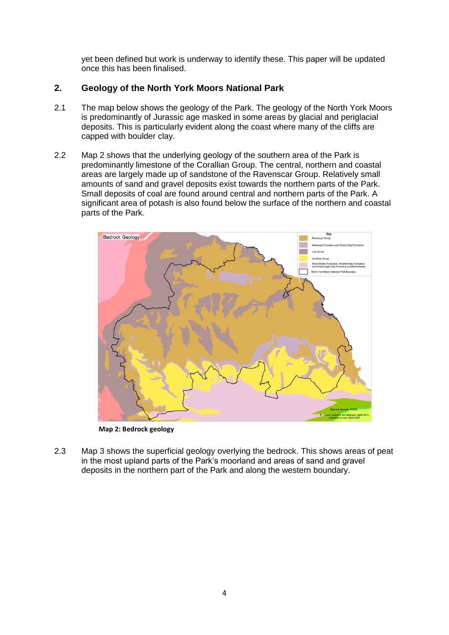yet been defined but work is underway to identify these. This paper will be updated once this has been finalised.

## **2. Geology of the North York Moors National Park**

- 2.1 The map below shows the geology of the Park. The geology of the North York Moors is predominantly of Jurassic age masked in some areas by glacial and periglacial deposits. This is particularly evident along the coast where many of the cliffs are capped with boulder clay.
- 2.2 Map 2 shows that the underlying geology of the southern area of the Park is predominantly limestone of the Corallian Group. The central, northern and coastal areas are largely made up of sandstone of the Ravenscar Group. Relatively small amounts of sand and gravel deposits exist towards the northern parts of the Park. Small deposits of coal are found around central and northern parts of the Park. A significant area of potash is also found below the surface of the northern and coastal parts of the Park.



**Map 2: Bedrock geology**

2.3 Map 3 shows the superficial geology overlying the bedrock. This shows areas of peat in the most upland parts of the Park's moorland and areas of sand and gravel deposits in the northern part of the Park and along the western boundary.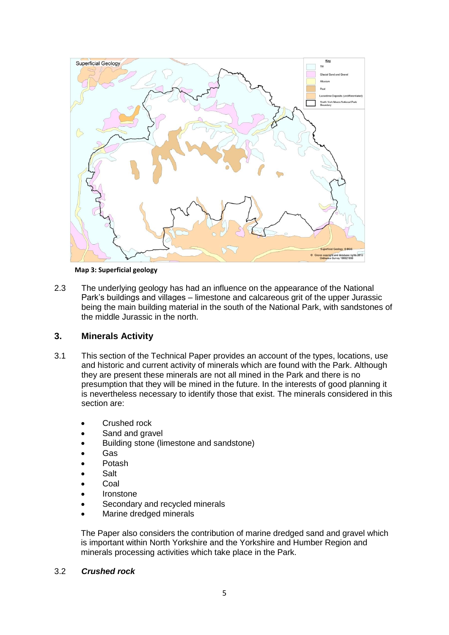

**Map 3: Superficial geology**

2.3 The underlying geology has had an influence on the appearance of the National Park's buildings and villages – limestone and calcareous grit of the upper Jurassic being the main building material in the south of the National Park, with sandstones of the middle Jurassic in the north.

#### **3. Minerals Activity**

- 3.1 This section of the Technical Paper provides an account of the types, locations, use and historic and current activity of minerals which are found with the Park. Although they are present these minerals are not all mined in the Park and there is no presumption that they will be mined in the future. In the interests of good planning it is nevertheless necessary to identify those that exist. The minerals considered in this section are:
	- Crushed rock
	- Sand and gravel
	- Building stone (limestone and sandstone)
	- Gas
	- Potash
	- Salt
	- Coal
	- Ironstone
	- Secondary and recycled minerals
	- Marine dredged minerals

The Paper also considers the contribution of marine dredged sand and gravel which is important within North Yorkshire and the Yorkshire and Humber Region and minerals processing activities which take place in the Park.

#### 3.2 *Crushed rock*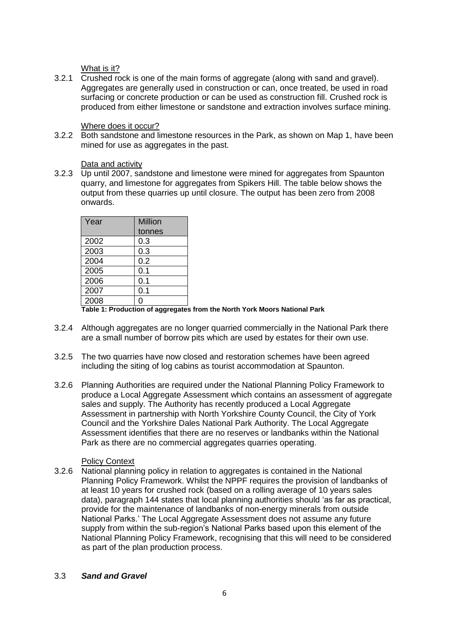What is it?

3.2.1 Crushed rock is one of the main forms of aggregate (along with sand and gravel). Aggregates are generally used in construction or can, once treated, be used in road surfacing or concrete production or can be used as construction fill. Crushed rock is produced from either limestone or sandstone and extraction involves surface mining.

#### Where does it occur?

3.2.2 Both sandstone and limestone resources in the Park, as shown on Map 1, have been mined for use as aggregates in the past.

## Data and activity

3.2.3 Up until 2007, sandstone and limestone were mined for aggregates from Spaunton quarry, and limestone for aggregates from Spikers Hill. The table below shows the output from these quarries up until closure. The output has been zero from 2008 onwards.

| Year | Million |
|------|---------|
|      | tonnes  |
| 2002 | 0.3     |
| 2003 | 0.3     |
| 2004 | 0.2     |
| 2005 | 0.1     |
| 2006 | 0.1     |
| 2007 | 0.1     |
| 2008 | ი       |

**Table 1: Production of aggregates from the North York Moors National Park**

- 3.2.4 Although aggregates are no longer quarried commercially in the National Park there are a small number of borrow pits which are used by estates for their own use.
- 3.2.5 The two quarries have now closed and restoration schemes have been agreed including the siting of log cabins as tourist accommodation at Spaunton.
- 3.2.6 Planning Authorities are required under the National Planning Policy Framework to produce a Local Aggregate Assessment which contains an assessment of aggregate sales and supply. The Authority has recently produced a Local Aggregate Assessment in partnership with North Yorkshire County Council, the City of York Council and the Yorkshire Dales National Park Authority. The Local Aggregate Assessment identifies that there are no reserves or landbanks within the National Park as there are no commercial aggregates quarries operating.

## Policy Context

3.2.6 National planning policy in relation to aggregates is contained in the National Planning Policy Framework. Whilst the NPPF requires the provision of landbanks of at least 10 years for crushed rock (based on a rolling average of 10 years sales data), paragraph 144 states that local planning authorities should 'as far as practical, provide for the maintenance of landbanks of non-energy minerals from outside National Parks.' The Local Aggregate Assessment does not assume any future supply from within the sub-region's National Parks based upon this element of the National Planning Policy Framework, recognising that this will need to be considered as part of the plan production process.

#### 3.3 *Sand and Gravel*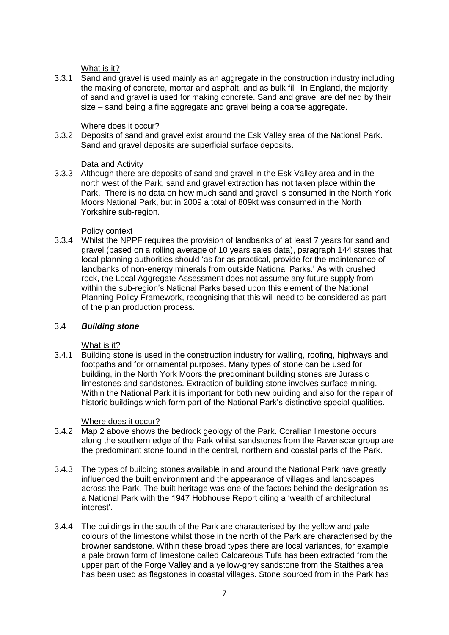What is it?

3.3.1 Sand and gravel is used mainly as an aggregate in the construction industry including the making of concrete, mortar and asphalt, and as bulk fill. In England, the majority of sand and gravel is used for making concrete. Sand and gravel are defined by their size – sand being a fine aggregate and gravel being a coarse aggregate.

## Where does it occur?

3.3.2 Deposits of sand and gravel exist around the Esk Valley area of the National Park. Sand and gravel deposits are superficial surface deposits.

## Data and Activity

3.3.3 Although there are deposits of sand and gravel in the Esk Valley area and in the north west of the Park, sand and gravel extraction has not taken place within the Park. There is no data on how much sand and gravel is consumed in the North York Moors National Park, but in 2009 a total of 809kt was consumed in the North Yorkshire sub-region.

## Policy context

3.3.4 Whilst the NPPF requires the provision of landbanks of at least 7 years for sand and gravel (based on a rolling average of 10 years sales data), paragraph 144 states that local planning authorities should 'as far as practical, provide for the maintenance of landbanks of non-energy minerals from outside National Parks.' As with crushed rock, the Local Aggregate Assessment does not assume any future supply from within the sub-region's National Parks based upon this element of the National Planning Policy Framework, recognising that this will need to be considered as part of the plan production process.

#### 3.4 *Building stone*

#### What is it?

3.4.1 Building stone is used in the construction industry for walling, roofing, highways and footpaths and for ornamental purposes. Many types of stone can be used for building, in the North York Moors the predominant building stones are Jurassic limestones and sandstones. Extraction of building stone involves surface mining. Within the National Park it is important for both new building and also for the repair of historic buildings which form part of the National Park's distinctive special qualities.

#### Where does it occur?

- 3.4.2 Map 2 above shows the bedrock geology of the Park. Corallian limestone occurs along the southern edge of the Park whilst sandstones from the Ravenscar group are the predominant stone found in the central, northern and coastal parts of the Park.
- 3.4.3 The types of building stones available in and around the National Park have greatly influenced the built environment and the appearance of villages and landscapes across the Park. The built heritage was one of the factors behind the designation as a National Park with the 1947 Hobhouse Report citing a 'wealth of architectural interest'.
- 3.4.4 The buildings in the south of the Park are characterised by the yellow and pale colours of the limestone whilst those in the north of the Park are characterised by the browner sandstone. Within these broad types there are local variances, for example a pale brown form of limestone called Calcareous Tufa has been extracted from the upper part of the Forge Valley and a yellow-grey sandstone from the Staithes area has been used as flagstones in coastal villages. Stone sourced from in the Park has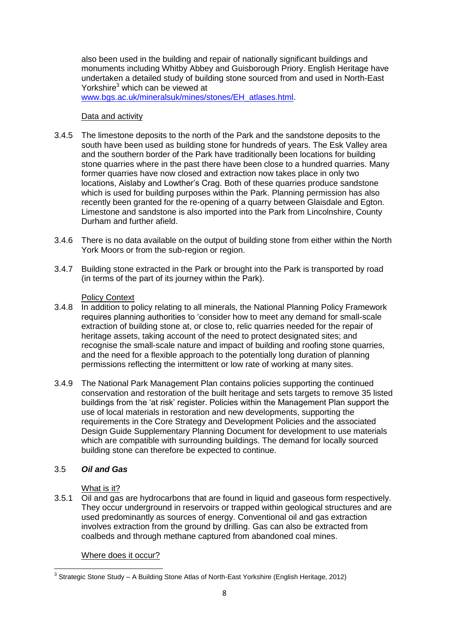also been used in the building and repair of nationally significant buildings and monuments including Whitby Abbey and Guisborough Priory. English Heritage have undertaken a detailed study of building stone sourced from and used in North-East Yorkshire<sup>3</sup> which can be viewed at

[www.bgs.ac.uk/mineralsuk/mines/stones/EH\\_atlases.html.](http://www.bgs.ac.uk/mineralsuk/mines/stones/EH_atlases.html)

#### Data and activity

- 3.4.5 The limestone deposits to the north of the Park and the sandstone deposits to the south have been used as building stone for hundreds of years. The Esk Valley area and the southern border of the Park have traditionally been locations for building stone quarries where in the past there have been close to a hundred quarries. Many former quarries have now closed and extraction now takes place in only two locations, Aislaby and Lowther's Crag. Both of these quarries produce sandstone which is used for building purposes within the Park. Planning permission has also recently been granted for the re-opening of a quarry between Glaisdale and Egton. Limestone and sandstone is also imported into the Park from Lincolnshire, County Durham and further afield.
- 3.4.6 There is no data available on the output of building stone from either within the North York Moors or from the sub-region or region.
- 3.4.7 Building stone extracted in the Park or brought into the Park is transported by road (in terms of the part of its journey within the Park).

#### Policy Context

- 3.4.8 In addition to policy relating to all minerals, the National Planning Policy Framework requires planning authorities to 'consider how to meet any demand for small-scale extraction of building stone at, or close to, relic quarries needed for the repair of heritage assets, taking account of the need to protect designated sites; and recognise the small-scale nature and impact of building and roofing stone quarries, and the need for a flexible approach to the potentially long duration of planning permissions reflecting the intermittent or low rate of working at many sites.
- 3.4.9 The National Park Management Plan contains policies supporting the continued conservation and restoration of the built heritage and sets targets to remove 35 listed buildings from the 'at risk' register. Policies within the Management Plan support the use of local materials in restoration and new developments, supporting the requirements in the Core Strategy and Development Policies and the associated Design Guide Supplementary Planning Document for development to use materials which are compatible with surrounding buildings. The demand for locally sourced building stone can therefore be expected to continue.

#### 3.5 *Oil and Gas*

#### What is it?

3.5.1 Oil and gas are hydrocarbons that are found in liquid and gaseous form respectively. They occur underground in reservoirs or trapped within geological structures and are used predominantly as sources of energy. Conventional oil and gas extraction involves extraction from the ground by drilling. Gas can also be extracted from coalbeds and through methane captured from abandoned coal mines.

Where does it occur?

 3 Strategic Stone Study – A Building Stone Atlas of North-East Yorkshire (English Heritage, 2012)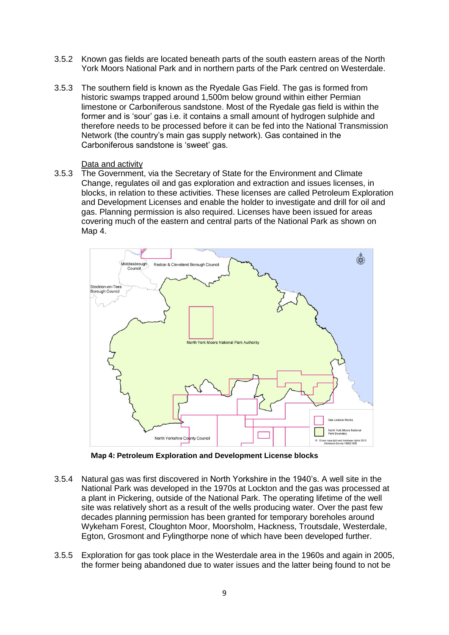- 3.5.2 Known gas fields are located beneath parts of the south eastern areas of the North York Moors National Park and in northern parts of the Park centred on Westerdale.
- 3.5.3 The southern field is known as the Ryedale Gas Field. The gas is formed from historic swamps trapped around 1,500m below ground within either Permian limestone or Carboniferous sandstone. Most of the Ryedale gas field is within the former and is 'sour' gas i.e. it contains a small amount of hydrogen sulphide and therefore needs to be processed before it can be fed into the National Transmission Network (the country's main gas supply network). Gas contained in the Carboniferous sandstone is 'sweet' gas.

#### Data and activity

3.5.3 The Government, via the Secretary of State for the Environment and Climate Change, regulates oil and gas exploration and extraction and issues licenses, in blocks, in relation to these activities. These licenses are called Petroleum Exploration and Development Licenses and enable the holder to investigate and drill for oil and gas. Planning permission is also required. Licenses have been issued for areas covering much of the eastern and central parts of the National Park as shown on Map 4.



**Map 4: Petroleum Exploration and Development License blocks**

- 3.5.4 Natural gas was first discovered in North Yorkshire in the 1940's. A well site in the National Park was developed in the 1970s at Lockton and the gas was processed at a plant in Pickering, outside of the National Park. The operating lifetime of the well site was relatively short as a result of the wells producing water. Over the past few decades planning permission has been granted for temporary boreholes around Wykeham Forest, Cloughton Moor, Moorsholm, Hackness, Troutsdale, Westerdale, Egton, Grosmont and Fylingthorpe none of which have been developed further.
- 3.5.5 Exploration for gas took place in the Westerdale area in the 1960s and again in 2005, the former being abandoned due to water issues and the latter being found to not be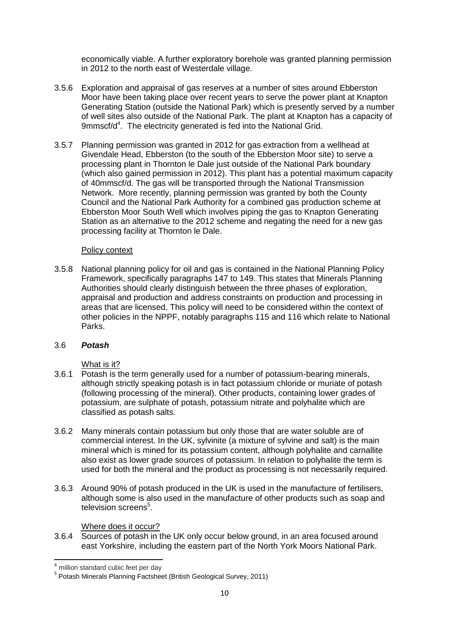economically viable. A further exploratory borehole was granted planning permission in 2012 to the north east of Westerdale village.

- 3.5.6 Exploration and appraisal of gas reserves at a number of sites around Ebberston Moor have been taking place over recent years to serve the power plant at Knapton Generating Station (outside the National Park) which is presently served by a number of well sites also outside of the National Park. The plant at Knapton has a capacity of  $9$ mmscf/d $4$ . The electricity generated is fed into the National Grid.
- 3.5.7 Planning permission was granted in 2012 for gas extraction from a wellhead at Givendale Head, Ebberston (to the south of the Ebberston Moor site) to serve a processing plant in Thornton le Dale just outside of the National Park boundary (which also gained permission in 2012). This plant has a potential maximum capacity of 40mmscf/d. The gas will be transported through the National Transmission Network. More recently, planning permission was granted by both the County Council and the National Park Authority for a combined gas production scheme at Ebberston Moor South Well which involves piping the gas to Knapton Generating Station as an alternative to the 2012 scheme and negating the need for a new gas processing facility at Thornton le Dale.

#### Policy context

3.5.8 National planning policy for oil and gas is contained in the National Planning Policy Framework, specifically paragraphs 147 to 149. This states that Minerals Planning Authorities should clearly distinguish between the three phases of exploration, appraisal and production and address constraints on production and processing in areas that are licensed. This policy will need to be considered within the context of other policies in the NPPF, notably paragraphs 115 and 116 which relate to National Parks.

#### 3.6 *Potash*

#### What is it?

- 3.6.1 Potash is the term generally used for a number of potassium-bearing minerals, although strictly speaking potash is in fact potassium chloride or muriate of potash (following processing of the mineral). Other products, containing lower grades of potassium, are sulphate of potash, potassium nitrate and polyhalite which are classified as potash salts.
- 3.6.2 Many minerals contain potassium but only those that are water soluble are of commercial interest. In the UK, sylvinite (a mixture of sylvine and salt) is the main mineral which is mined for its potassium content, although polyhalite and carnallite also exist as lower grade sources of potassium. In relation to polyhalite the term is used for both the mineral and the product as processing is not necessarily required.
- 3.6.3 Around 90% of potash produced in the UK is used in the manufacture of fertilisers, although some is also used in the manufacture of other products such as soap and television screens<sup>5</sup>.

#### Where does it occur?

3.6.4 Sources of potash in the UK only occur below ground, in an area focused around east Yorkshire, including the eastern part of the North York Moors National Park.

 $\overline{a}$ <sup>4</sup> million standard cubic feet per day

<sup>&</sup>lt;sup>5</sup> Potash Minerals Planning Factsheet (British Geological Survey, 2011)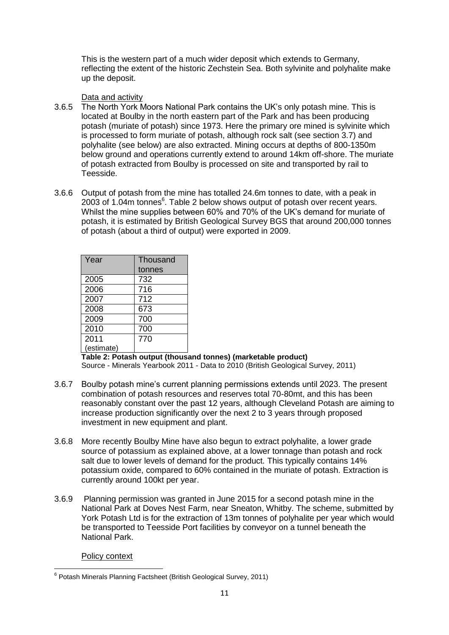This is the western part of a much wider deposit which extends to Germany, reflecting the extent of the historic Zechstein Sea. Both sylvinite and polyhalite make up the deposit.

#### Data and activity

- 3.6.5 The North York Moors National Park contains the UK's only potash mine. This is located at Boulby in the north eastern part of the Park and has been producing potash (muriate of potash) since 1973. Here the primary ore mined is sylvinite which is processed to form muriate of potash, although rock salt (see section 3.7) and polyhalite (see below) are also extracted. Mining occurs at depths of 800-1350m below ground and operations currently extend to around 14km off-shore. The muriate of potash extracted from Boulby is processed on site and transported by rail to Teesside.
- 3.6.6 Output of potash from the mine has totalled 24.6m tonnes to date, with a peak in 2003 of 1.04m tonnes $6$ . Table 2 below shows output of potash over recent years. Whilst the mine supplies between 60% and 70% of the UK's demand for muriate of potash, it is estimated by British Geological Survey BGS that around 200,000 tonnes of potash (about a third of output) were exported in 2009.

| Year       | Thousand |
|------------|----------|
|            | tonnes   |
| 2005       | 732      |
| 2006       | 716      |
| 2007       | 712      |
| 2008       | 673      |
| 2009       | 700      |
| 2010       | 700      |
| 2011       | 770      |
| (estimate) |          |

**Table 2: Potash output (thousand tonnes) (marketable product)**

Source - Minerals Yearbook 2011 - Data to 2010 (British Geological Survey, 2011)

- 3.6.7 Boulby potash mine's current planning permissions extends until 2023. The present combination of potash resources and reserves total 70-80mt, and this has been reasonably constant over the past 12 years, although Cleveland Potash are aiming to increase production significantly over the next 2 to 3 years through proposed investment in new equipment and plant.
- 3.6.8 More recently Boulby Mine have also begun to extract polyhalite, a lower grade source of potassium as explained above, at a lower tonnage than potash and rock salt due to lower levels of demand for the product. This typically contains 14% potassium oxide, compared to 60% contained in the muriate of potash. Extraction is currently around 100kt per year.
- 3.6.9 Planning permission was granted in June 2015 for a second potash mine in the National Park at Doves Nest Farm, near Sneaton, Whitby. The scheme, submitted by York Potash Ltd is for the extraction of 13m tonnes of polyhalite per year which would be transported to Teesside Port facilities by conveyor on a tunnel beneath the National Park.

Policy context

 6 Potash Minerals Planning Factsheet (British Geological Survey, 2011)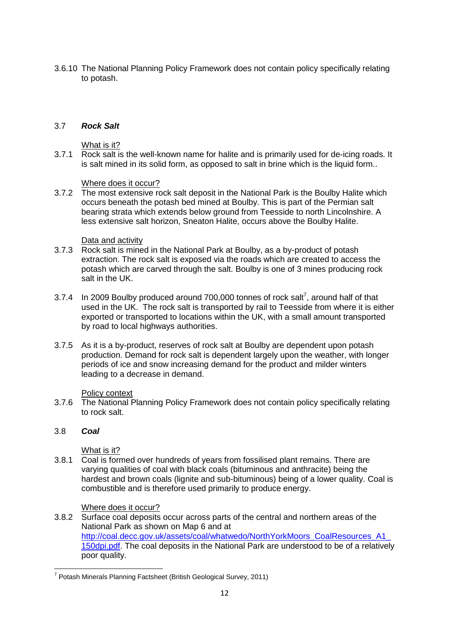3.6.10 The National Planning Policy Framework does not contain policy specifically relating to potash.

#### 3.7 *Rock Salt*

#### What is it?

3.7.1 Rock salt is the well-known name for halite and is primarily used for de-icing roads. It is salt mined in its solid form, as opposed to salt in brine which is the liquid form..

#### Where does it occur?

3.7.2 The most extensive rock salt deposit in the National Park is the Boulby Halite which occurs beneath the potash bed mined at Boulby. This is part of the Permian salt bearing strata which extends below ground from Teesside to north Lincolnshire. A less extensive salt horizon, Sneaton Halite, occurs above the Boulby Halite.

#### Data and activity

- 3.7.3 Rock salt is mined in the National Park at Boulby, as a by-product of potash extraction. The rock salt is exposed via the roads which are created to access the potash which are carved through the salt. Boulby is one of 3 mines producing rock salt in the UK.
- 3.7.4 In 2009 Boulby produced around 700,000 tonnes of rock salt<sup>7</sup>, around half of that used in the UK. The rock salt is transported by rail to Teesside from where it is either exported or transported to locations within the UK, with a small amount transported by road to local highways authorities.
- 3.7.5 As it is a by-product, reserves of rock salt at Boulby are dependent upon potash production. Demand for rock salt is dependent largely upon the weather, with longer periods of ice and snow increasing demand for the product and milder winters leading to a decrease in demand.

#### Policy context

3.7.6 The National Planning Policy Framework does not contain policy specifically relating to rock salt.

#### 3.8 *Coal*

#### What is it?

3.8.1 Coal is formed over hundreds of years from fossilised plant remains. There are varying qualities of coal with black coals (bituminous and anthracite) being the hardest and brown coals (lignite and sub-bituminous) being of a lower quality. Coal is combustible and is therefore used primarily to produce energy.

#### Where does it occur?

3.8.2 Surface coal deposits occur across parts of the central and northern areas of the National Park as shown on Map 6 and at [http://coal.decc.gov.uk/assets/coal/whatwedo/NorthYorkMoors\\_CoalResources\\_A1\\_](http://coal.decc.gov.uk/assets/coal/whatwedo/NorthYorkMoors_CoalResources_A1_150dpi.pdf) [150dpi.pdf.](http://coal.decc.gov.uk/assets/coal/whatwedo/NorthYorkMoors_CoalResources_A1_150dpi.pdf) The coal deposits in the National Park are understood to be of a relatively poor quality.

 7 Potash Minerals Planning Factsheet (British Geological Survey, 2011)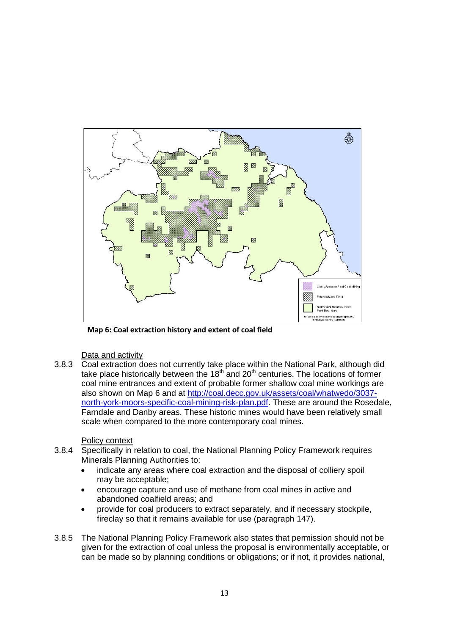

**Map 6: Coal extraction history and extent of coal field**

#### Data and activity

3.8.3 Coal extraction does not currently take place within the National Park, although did take place historically between the  $18<sup>th</sup>$  and  $20<sup>th</sup>$  centuries. The locations of former coal mine entrances and extent of probable former shallow coal mine workings are also shown on Map 6 and at [http://coal.decc.gov.uk/assets/coal/whatwedo/3037](http://coal.decc.gov.uk/assets/coal/whatwedo/3037-north-york-moors-specific-coal-mining-risk-plan.pdf) [north-york-moors-specific-coal-mining-risk-plan.pdf.](http://coal.decc.gov.uk/assets/coal/whatwedo/3037-north-york-moors-specific-coal-mining-risk-plan.pdf) These are around the Rosedale, Farndale and Danby areas. These historic mines would have been relatively small scale when compared to the more contemporary coal mines.

#### Policy context

- 3.8.4 Specifically in relation to coal, the National Planning Policy Framework requires Minerals Planning Authorities to:
	- indicate any areas where coal extraction and the disposal of colliery spoil may be acceptable;
	- encourage capture and use of methane from coal mines in active and abandoned coalfield areas; and
	- provide for coal producers to extract separately, and if necessary stockpile, fireclay so that it remains available for use (paragraph 147).
- 3.8.5 The National Planning Policy Framework also states that permission should not be given for the extraction of coal unless the proposal is environmentally acceptable, or can be made so by planning conditions or obligations; or if not, it provides national,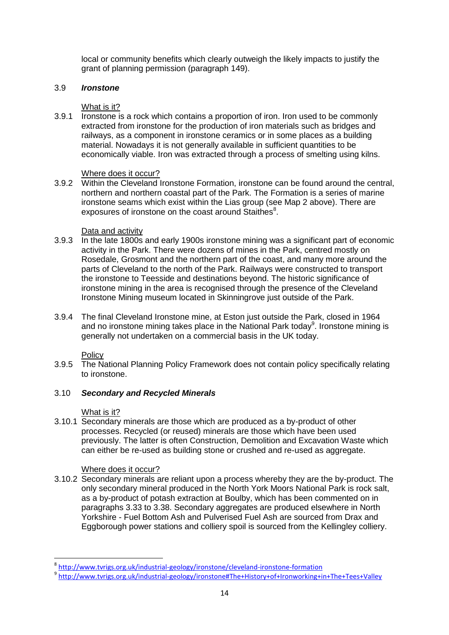local or community benefits which clearly outweigh the likely impacts to justify the grant of planning permission (paragraph 149).

#### 3.9 *Ironstone*

## What is it?

3.9.1 Ironstone is a rock which contains a proportion of iron. Iron used to be commonly extracted from ironstone for the production of iron materials such as bridges and railways, as a component in ironstone ceramics or in some places as a building material. Nowadays it is not generally available in sufficient quantities to be economically viable. Iron was extracted through a process of smelting using kilns.

## Where does it occur?

3.9.2 Within the Cleveland Ironstone Formation, ironstone can be found around the central, northern and northern coastal part of the Park. The Formation is a series of marine ironstone seams which exist within the Lias group (see Map 2 above). There are exposures of ironstone on the coast around Staithes<sup>8</sup>.

## Data and activity

- 3.9.3 In the late 1800s and early 1900s ironstone mining was a significant part of economic activity in the Park. There were dozens of mines in the Park, centred mostly on Rosedale, Grosmont and the northern part of the coast, and many more around the parts of Cleveland to the north of the Park. Railways were constructed to transport the ironstone to Teesside and destinations beyond. The historic significance of ironstone mining in the area is recognised through the presence of the Cleveland Ironstone Mining museum located in Skinningrove just outside of the Park.
- 3.9.4 The final Cleveland Ironstone mine, at Eston just outside the Park, closed in 1964 and no ironstone mining takes place in the National Park today<sup>9</sup>. Ironstone mining is generally not undertaken on a commercial basis in the UK today.

**Policy** 

3.9.5 The National Planning Policy Framework does not contain policy specifically relating to ironstone.

## 3.10 *Secondary and Recycled Minerals*

#### What is it?

1

3.10.1 Secondary minerals are those which are produced as a by-product of other processes. Recycled (or reused) minerals are those which have been used previously. The latter is often Construction, Demolition and Excavation Waste which can either be re-used as building stone or crushed and re-used as aggregate.

## Where does it occur?

3.10.2 Secondary minerals are reliant upon a process whereby they are the by-product. The only secondary mineral produced in the North York Moors National Park is rock salt, as a by-product of potash extraction at Boulby, which has been commented on in paragraphs 3.33 to 3.38. Secondary aggregates are produced elsewhere in North Yorkshire - Fuel Bottom Ash and Pulverised Fuel Ash are sourced from Drax and Eggborough power stations and colliery spoil is sourced from the Kellingley colliery.

<sup>8</sup> <http://www.tvrigs.org.uk/industrial-geology/ironstone/cleveland-ironstone-formation>

<sup>9</sup> <http://www.tvrigs.org.uk/industrial-geology/ironstone#The+History+of+Ironworking+in+The+Tees+Valley>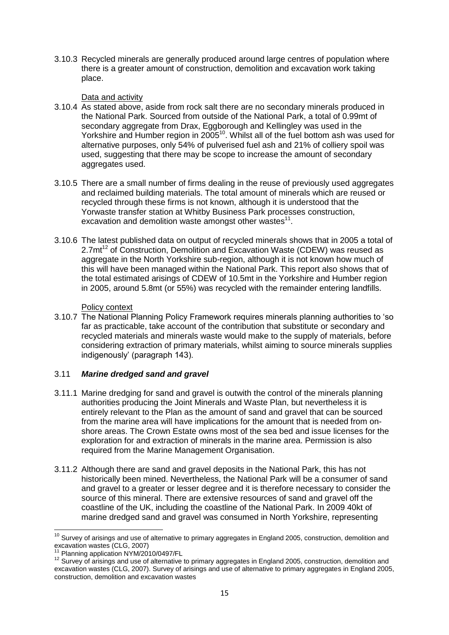3.10.3 Recycled minerals are generally produced around large centres of population where there is a greater amount of construction, demolition and excavation work taking place.

#### Data and activity

- 3.10.4 As stated above, aside from rock salt there are no secondary minerals produced in the National Park. Sourced from outside of the National Park, a total of 0.99mt of secondary aggregate from Drax, Eggborough and Kellingley was used in the Yorkshire and Humber region in 2005<sup>10</sup>. Whilst all of the fuel bottom ash was used for alternative purposes, only 54% of pulverised fuel ash and 21% of colliery spoil was used, suggesting that there may be scope to increase the amount of secondary aggregates used.
- 3.10.5 There are a small number of firms dealing in the reuse of previously used aggregates and reclaimed building materials. The total amount of minerals which are reused or recycled through these firms is not known, although it is understood that the Yorwaste transfer station at Whitby Business Park processes construction, excavation and demolition waste amongst other wastes $11$ .
- 3.10.6 The latest published data on output of recycled minerals shows that in 2005 a total of 2.7mt<sup>12</sup> of Construction, Demolition and Excavation Waste (CDEW) was reused as aggregate in the North Yorkshire sub-region, although it is not known how much of this will have been managed within the National Park. This report also shows that of the total estimated arisings of CDEW of 10.5mt in the Yorkshire and Humber region in 2005, around 5.8mt (or 55%) was recycled with the remainder entering landfills.

## Policy context

3.10.7 The National Planning Policy Framework requires minerals planning authorities to 'so far as practicable, take account of the contribution that substitute or secondary and recycled materials and minerals waste would make to the supply of materials, before considering extraction of primary materials, whilst aiming to source minerals supplies indigenously' (paragraph 143).

## 3.11 *Marine dredged sand and gravel*

- 3.11.1 Marine dredging for sand and gravel is outwith the control of the minerals planning authorities producing the Joint Minerals and Waste Plan, but nevertheless it is entirely relevant to the Plan as the amount of sand and gravel that can be sourced from the marine area will have implications for the amount that is needed from onshore areas. The Crown Estate owns most of the sea bed and issue licenses for the exploration for and extraction of minerals in the marine area. Permission is also required from the Marine Management Organisation.
- 3.11.2 Although there are sand and gravel deposits in the National Park, this has not historically been mined. Nevertheless, the National Park will be a consumer of sand and gravel to a greater or lesser degree and it is therefore necessary to consider the source of this mineral. There are extensive resources of sand and gravel off the coastline of the UK, including the coastline of the National Park. In 2009 40kt of marine dredged sand and gravel was consumed in North Yorkshire, representing

 $\overline{a}$  $10$  Survey of arisings and use of alternative to primary aggregates in England 2005, construction, demolition and excavation wastes (CLG, 2007)

<sup>&</sup>lt;sup>11</sup> Planning application NYM/2010/0497/FL

<sup>12</sup> Survey of arisings and use of alternative to primary aggregates in England 2005, construction, demolition and excavation wastes (CLG, 2007). Survey of arisings and use of alternative to primary aggregates in England 2005, construction, demolition and excavation wastes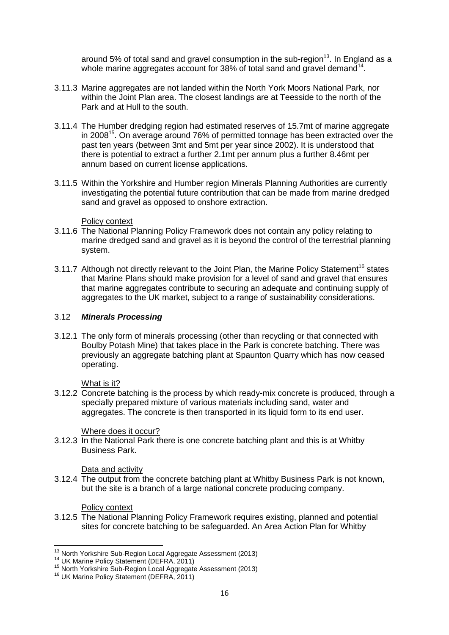around 5% of total sand and gravel consumption in the sub-region $^{13}$ . In England as a whole marine aggregates account for 38% of total sand and gravel demand $^{14}$ .

- 3.11.3 Marine aggregates are not landed within the North York Moors National Park, nor within the Joint Plan area. The closest landings are at Teesside to the north of the Park and at Hull to the south.
- 3.11.4 The Humber dredging region had estimated reserves of 15.7mt of marine aggregate in 2008<sup>15</sup>. On average around 76% of permitted tonnage has been extracted over the past ten years (between 3mt and 5mt per year since 2002). It is understood that there is potential to extract a further 2.1mt per annum plus a further 8.46mt per annum based on current license applications.
- 3.11.5 Within the Yorkshire and Humber region Minerals Planning Authorities are currently investigating the potential future contribution that can be made from marine dredged sand and gravel as opposed to onshore extraction.

Policy context

- 3.11.6 The National Planning Policy Framework does not contain any policy relating to marine dredged sand and gravel as it is beyond the control of the terrestrial planning system.
- 3.11.7 Although not directly relevant to the Joint Plan, the Marine Policy Statement<sup>16</sup> states that Marine Plans should make provision for a level of sand and gravel that ensures that marine aggregates contribute to securing an adequate and continuing supply of aggregates to the UK market, subject to a range of sustainability considerations.

#### 3.12 *Minerals Processing*

3.12.1 The only form of minerals processing (other than recycling or that connected with Boulby Potash Mine) that takes place in the Park is concrete batching. There was previously an aggregate batching plant at Spaunton Quarry which has now ceased operating.

What is it?

3.12.2 Concrete batching is the process by which ready-mix concrete is produced, through a specially prepared mixture of various materials including sand, water and aggregates. The concrete is then transported in its liquid form to its end user.

Where does it occur?

3.12.3 In the National Park there is one concrete batching plant and this is at Whitby Business Park.

Data and activity

3.12.4 The output from the concrete batching plant at Whitby Business Park is not known, but the site is a branch of a large national concrete producing company.

#### Policy context

3.12.5 The National Planning Policy Framework requires existing, planned and potential sites for concrete batching to be safeguarded. An Area Action Plan for Whitby

**<sup>.</sup>** <sup>13</sup> North Yorkshire Sub-Region Local Aggregate Assessment (2013)

<sup>14</sup> UK Marine Policy Statement (DEFRA, 2011)

<sup>15</sup> North Yorkshire Sub-Region Local Aggregate Assessment (2013)

<sup>16</sup> UK Marine Policy Statement (DEFRA, 2011)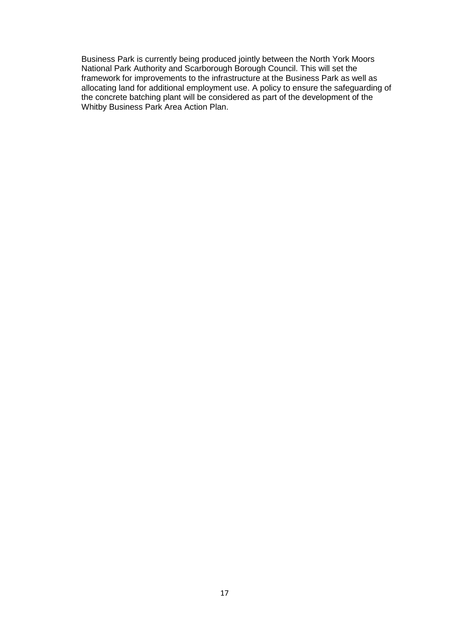Business Park is currently being produced jointly between the North York Moors National Park Authority and Scarborough Borough Council. This will set the framework for improvements to the infrastructure at the Business Park as well as allocating land for additional employment use. A policy to ensure the safeguarding of the concrete batching plant will be considered as part of the development of the Whitby Business Park Area Action Plan.